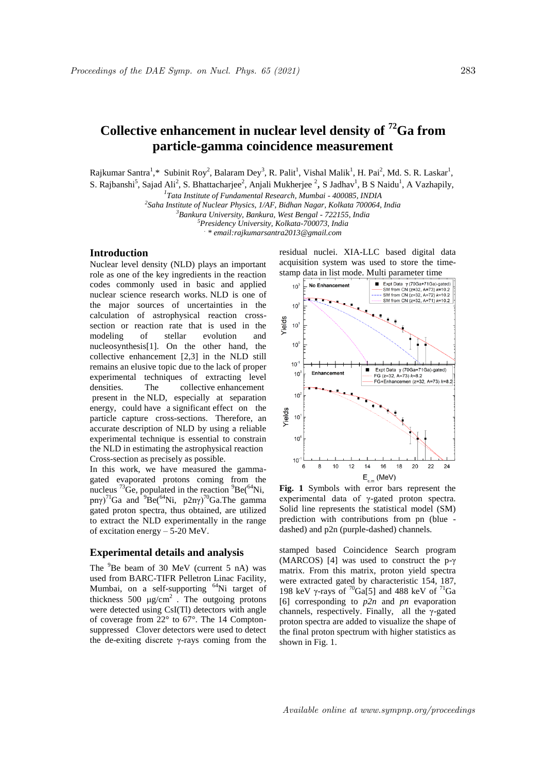# **Collective enhancement in nuclear level density of <sup>72</sup>Ga from particle-gamma coincidence measurement**

Rajkumar Santra<sup>1</sup>,\* Subinit Roy<sup>2</sup>, Balaram Dey<sup>3</sup>, R. Palit<sup>1</sup>, Vishal Malik<sup>1</sup>, H. Pai<sup>2</sup>, Md. S. R. Laskar<sup>1</sup>,

S. Rajbanshi<sup>5</sup>, Sajad Ali<sup>2</sup>, S. Bhattacharjee<sup>2</sup>, Anjali Mukherjee <sup>2</sup>, S Jadhav<sup>1</sup>, B S Naidu<sup>1</sup>, A Vazhapily,

*1 Tata Institute of Fundamental Research, Mumbai - 400085, INDIA*

*2 Saha Institute of Nuclear Physics, 1/AF, Bidhan Nagar, Kolkata 700064, India*

*<sup>3</sup>Bankura University, Bankura, West Bengal - 722155, India*

*<sup>5</sup>Presidency University, Kolkata-700073, India*

*. \* email:rajkumarsantra2013@gmail.com*

# **Introduction**

Nuclear level density (NLD) plays an important role as one of the key ingredients in the reaction codes commonly used in basic and applied nuclear science research works. NLD is one of the major sources of uncertainties in the calculation of astrophysical reaction crosssection or reaction rate that is used in the modeling of stellar evolution and nucleosynthesis[1]. On the other hand, the collective enhancement [2,3] in the NLD still remains an elusive topic due to the lack of proper experimental techniques of extracting level densities. The collective enhancement present in the NLD, especially at separation energy, could have a significant effect on the particle capture cross-sections. Therefore, an accurate description of NLD by using a reliable experimental technique is essential to constrain the NLD in estimating the astrophysical reaction Cross-section as precisely as possible.

In this work, we have measured the gammagated evaporated protons coming from the nucleus  $^{73}$ Ge, populated in the reaction  $^{9}$ Be( $^{64}$ Ni, pnγ)<sup>71</sup>Ga and  $9Be^{64}Ni$ , p2nγ)<sup>70</sup>Ga.The gamma gated proton spectra, thus obtained, are utilized to extract the NLD experimentally in the range of excitation energy – 5-20 MeV.

## **Experimental details and analysis**

The <sup>9</sup>Be beam of 30 MeV (current 5 nA) was used from BARC-TIFR Pelletron Linac Facility, Mumbai, on a self-supporting <sup>64</sup>Ni target of thickness 500  $\mu$ g/cm<sup>2</sup>. The outgoing protons were detected using CsI(Tl) detectors with angle of coverage from 22° to 67°. The 14 Comptonsuppressed Clover detectors were used to detect the de-exiting discrete γ-rays coming from the residual nuclei. XIA-LLC based digital data acquisition system was used to store the time-



**Fig. 1** Symbols with error bars represent the experimental data of γ-gated proton spectra. Solid line represents the statistical model (SM) prediction with contributions from pn (blue dashed) and p2n (purple-dashed) channels.

stamped based Coincidence Search program (MARCOS) [4] was used to construct the p-γ matrix. From this matrix, proton yield spectra were extracted gated by characteristic 154, 187, 198 keV γ-rays of  $\frac{70}{9}$ Ga[5] and 488 keV of  $\frac{71}{9}$ Ga [6] corresponding to *p2n* and *pn* evaporation channels, respectively. Finally, all the γ-gated proton spectra are added to visualize the shape of the final proton spectrum with higher statistics as shown in Fig. 1.